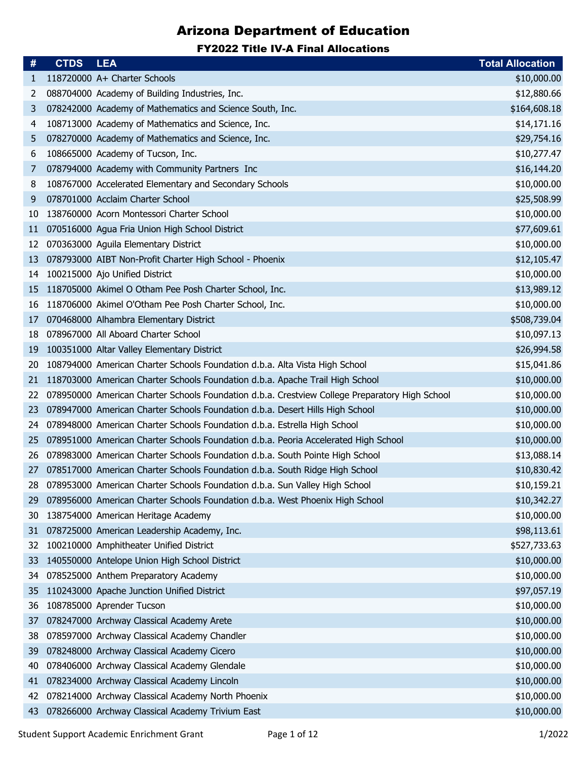| #  | <b>CTDS</b> | <b>LEA</b>                                                                                     | <b>Total Allocation</b> |
|----|-------------|------------------------------------------------------------------------------------------------|-------------------------|
| 1  |             | 118720000 A+ Charter Schools                                                                   | \$10,000.00             |
| 2  |             | 088704000 Academy of Building Industries, Inc.                                                 | \$12,880.66             |
| 3  |             | 078242000 Academy of Mathematics and Science South, Inc.                                       | \$164,608.18            |
| 4  |             | 108713000 Academy of Mathematics and Science, Inc.                                             | \$14,171.16             |
| 5  |             | 078270000 Academy of Mathematics and Science, Inc.                                             | \$29,754.16             |
| 6  |             | 108665000 Academy of Tucson, Inc.                                                              | \$10,277.47             |
| 7  |             | 078794000 Academy with Community Partners Inc                                                  | \$16,144.20             |
| 8  |             | 108767000 Accelerated Elementary and Secondary Schools                                         | \$10,000.00             |
| 9  |             | 078701000 Acclaim Charter School                                                               | \$25,508.99             |
| 10 |             | 138760000 Acorn Montessori Charter School                                                      | \$10,000.00             |
| 11 |             | 070516000 Agua Fria Union High School District                                                 | \$77,609.61             |
| 12 |             | 070363000 Aguila Elementary District                                                           | \$10,000.00             |
| 13 |             | 078793000 AIBT Non-Profit Charter High School - Phoenix                                        | \$12,105.47             |
| 14 |             | 100215000 Ajo Unified District                                                                 | \$10,000.00             |
| 15 |             | 118705000 Akimel O Otham Pee Posh Charter School, Inc.                                         | \$13,989.12             |
| 16 |             | 118706000 Akimel O'Otham Pee Posh Charter School, Inc.                                         | \$10,000.00             |
| 17 |             | 070468000 Alhambra Elementary District                                                         | \$508,739.04            |
| 18 |             | 078967000 All Aboard Charter School                                                            | \$10,097.13             |
| 19 |             | 100351000 Altar Valley Elementary District                                                     | \$26,994.58             |
| 20 |             | 108794000 American Charter Schools Foundation d.b.a. Alta Vista High School                    | \$15,041.86             |
| 21 |             | 118703000 American Charter Schools Foundation d.b.a. Apache Trail High School                  | \$10,000.00             |
| 22 |             | 078950000 American Charter Schools Foundation d.b.a. Crestview College Preparatory High School | \$10,000.00             |
| 23 |             | 078947000 American Charter Schools Foundation d.b.a. Desert Hills High School                  | \$10,000.00             |
| 24 |             | 078948000 American Charter Schools Foundation d.b.a. Estrella High School                      | \$10,000.00             |
| 25 |             | 078951000 American Charter Schools Foundation d.b.a. Peoria Accelerated High School            | \$10,000.00             |
| 26 |             | 078983000 American Charter Schools Foundation d.b.a. South Pointe High School                  | \$13,088.14             |
| 27 |             | 078517000 American Charter Schools Foundation d.b.a. South Ridge High School                   | \$10,830.42             |
|    |             | 28 078953000 American Charter Schools Foundation d.b.a. Sun Valley High School                 | \$10,159.21             |
| 29 |             | 078956000 American Charter Schools Foundation d.b.a. West Phoenix High School                  | \$10,342.27             |
| 30 |             | 138754000 American Heritage Academy                                                            | \$10,000.00             |
| 31 |             | 078725000 American Leadership Academy, Inc.                                                    | \$98,113.61             |
| 32 |             | 100210000 Amphitheater Unified District                                                        | \$527,733.63            |
| 33 |             | 140550000 Antelope Union High School District                                                  | \$10,000.00             |
| 34 |             | 078525000 Anthem Preparatory Academy                                                           | \$10,000.00             |
| 35 |             | 110243000 Apache Junction Unified District                                                     | \$97,057.19             |
| 36 |             | 108785000 Aprender Tucson                                                                      | \$10,000.00             |
| 37 |             | 078247000 Archway Classical Academy Arete                                                      | \$10,000.00             |
| 38 |             | 078597000 Archway Classical Academy Chandler                                                   | \$10,000.00             |
| 39 |             | 078248000 Archway Classical Academy Cicero                                                     | \$10,000.00             |
| 40 |             | 078406000 Archway Classical Academy Glendale                                                   | \$10,000.00             |
| 41 |             | 078234000 Archway Classical Academy Lincoln                                                    | \$10,000.00             |
| 42 |             | 078214000 Archway Classical Academy North Phoenix                                              | \$10,000.00             |
| 43 |             | 078266000 Archway Classical Academy Trivium East                                               | \$10,000.00             |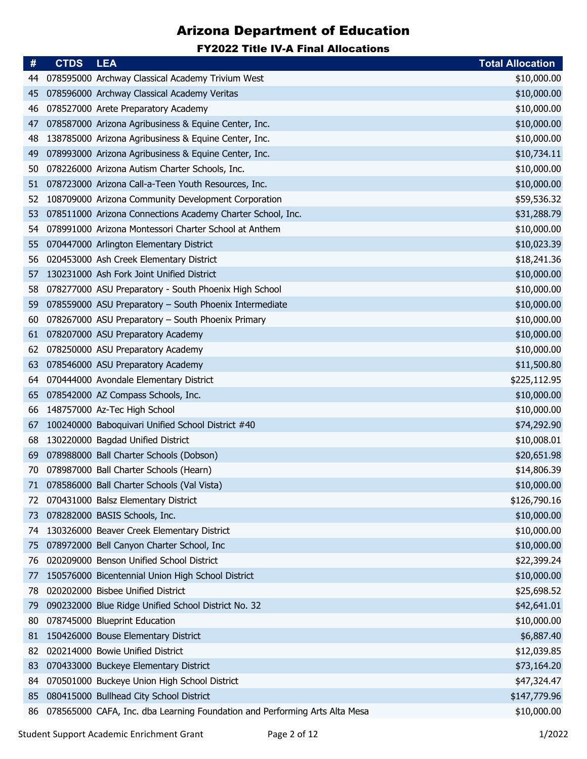| #  | <b>CTDS</b> | <b>LEA</b>                                                                 | <b>Total Allocation</b> |
|----|-------------|----------------------------------------------------------------------------|-------------------------|
| 44 |             | 078595000 Archway Classical Academy Trivium West                           | \$10,000.00             |
| 45 |             | 078596000 Archway Classical Academy Veritas                                | \$10,000.00             |
| 46 |             | 078527000 Arete Preparatory Academy                                        | \$10,000.00             |
| 47 |             | 078587000 Arizona Agribusiness & Equine Center, Inc.                       | \$10,000.00             |
| 48 |             | 138785000 Arizona Agribusiness & Equine Center, Inc.                       | \$10,000.00             |
| 49 |             | 078993000 Arizona Agribusiness & Equine Center, Inc.                       | \$10,734.11             |
| 50 |             | 078226000 Arizona Autism Charter Schools, Inc.                             | \$10,000.00             |
| 51 |             | 078723000 Arizona Call-a-Teen Youth Resources, Inc.                        | \$10,000.00             |
| 52 |             | 108709000 Arizona Community Development Corporation                        | \$59,536.32             |
| 53 |             | 078511000 Arizona Connections Academy Charter School, Inc.                 | \$31,288.79             |
| 54 |             | 078991000 Arizona Montessori Charter School at Anthem                      | \$10,000.00             |
| 55 |             | 070447000 Arlington Elementary District                                    | \$10,023.39             |
| 56 |             | 020453000 Ash Creek Elementary District                                    | \$18,241.36             |
| 57 |             | 130231000 Ash Fork Joint Unified District                                  | \$10,000.00             |
| 58 |             | 078277000 ASU Preparatory - South Phoenix High School                      | \$10,000.00             |
| 59 |             | 078559000 ASU Preparatory - South Phoenix Intermediate                     | \$10,000.00             |
| 60 |             | 078267000 ASU Preparatory - South Phoenix Primary                          | \$10,000.00             |
| 61 |             | 078207000 ASU Preparatory Academy                                          | \$10,000.00             |
| 62 |             | 078250000 ASU Preparatory Academy                                          | \$10,000.00             |
| 63 |             | 078546000 ASU Preparatory Academy                                          | \$11,500.80             |
| 64 |             | 070444000 Avondale Elementary District                                     | \$225,112.95            |
| 65 |             | 078542000 AZ Compass Schools, Inc.                                         | \$10,000.00             |
| 66 |             | 148757000 Az-Tec High School                                               | \$10,000.00             |
| 67 |             | 100240000 Baboquivari Unified School District #40                          | \$74,292.90             |
| 68 |             | 130220000 Bagdad Unified District                                          | \$10,008.01             |
| 69 |             | 078988000 Ball Charter Schools (Dobson)                                    | \$20,651.98             |
| 70 |             | 078987000 Ball Charter Schools (Hearn)                                     | \$14,806.39             |
| 71 |             | 078586000 Ball Charter Schools (Val Vista)                                 | \$10,000.00             |
| 72 |             | 070431000 Balsz Elementary District                                        | \$126,790.16            |
| 73 |             | 078282000 BASIS Schools, Inc.                                              | \$10,000.00             |
| 74 |             | 130326000 Beaver Creek Elementary District                                 | \$10,000.00             |
| 75 |             | 078972000 Bell Canyon Charter School, Inc                                  | \$10,000.00             |
| 76 |             | 020209000 Benson Unified School District                                   | \$22,399.24             |
| 77 |             | 150576000 Bicentennial Union High School District                          | \$10,000.00             |
| 78 |             | 020202000 Bisbee Unified District                                          | \$25,698.52             |
| 79 |             | 090232000 Blue Ridge Unified School District No. 32                        | \$42,641.01             |
| 80 |             | 078745000 Blueprint Education                                              | \$10,000.00             |
| 81 |             | 150426000 Bouse Elementary District                                        | \$6,887.40              |
| 82 |             | 020214000 Bowie Unified District                                           | \$12,039.85             |
| 83 |             | 070433000 Buckeye Elementary District                                      | \$73,164.20             |
| 84 |             | 070501000 Buckeye Union High School District                               | \$47,324.47             |
| 85 |             | 080415000 Bullhead City School District                                    | \$147,779.96            |
| 86 |             | 078565000 CAFA, Inc. dba Learning Foundation and Performing Arts Alta Mesa | \$10,000.00             |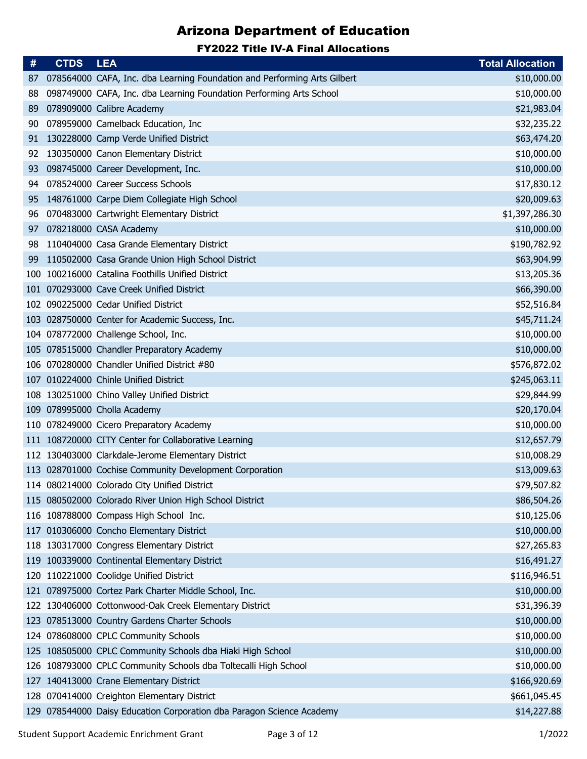| #          | <b>CTDS</b> | <b>LEA</b>                                                               | <b>Total Allocation</b> |
|------------|-------------|--------------------------------------------------------------------------|-------------------------|
| 87         |             | 078564000 CAFA, Inc. dba Learning Foundation and Performing Arts Gilbert | \$10,000.00             |
| 88         |             | 098749000 CAFA, Inc. dba Learning Foundation Performing Arts School      | \$10,000.00             |
| 89         |             | 078909000 Calibre Academy                                                | \$21,983.04             |
| 90         |             | 078959000 Camelback Education, Inc                                       | \$32,235.22             |
| 91         |             | 130228000 Camp Verde Unified District                                    | \$63,474.20             |
| 92         |             | 130350000 Canon Elementary District                                      | \$10,000.00             |
| 93         |             | 098745000 Career Development, Inc.                                       | \$10,000.00             |
| 94         |             | 078524000 Career Success Schools                                         | \$17,830.12             |
| 95         |             | 148761000 Carpe Diem Collegiate High School                              | \$20,009.63             |
| 96         |             | 070483000 Cartwright Elementary District                                 | \$1,397,286.30          |
| 97         |             | 078218000 CASA Academy                                                   | \$10,000.00             |
| 98         |             | 110404000 Casa Grande Elementary District                                | \$190,782.92            |
| 99         |             | 110502000 Casa Grande Union High School District                         | \$63,904.99             |
| 100        |             | 100216000 Catalina Foothills Unified District                            | \$13,205.36             |
| 101        |             | 070293000 Cave Creek Unified District                                    | \$66,390.00             |
|            |             | 102 090225000 Cedar Unified District                                     | \$52,516.84             |
| <b>103</b> |             | 028750000 Center for Academic Success, Inc.                              | \$45,711.24             |
|            |             | 104 078772000 Challenge School, Inc.                                     | \$10,000.00             |
|            |             | 105 078515000 Chandler Preparatory Academy                               | \$10,000.00             |
| 106        |             | 070280000 Chandler Unified District #80                                  | \$576,872.02            |
|            |             | 107 010224000 Chinle Unified District                                    | \$245,063.11            |
|            |             | 108 130251000 Chino Valley Unified District                              | \$29,844.99             |
|            |             | 109 078995000 Cholla Academy                                             | \$20,170.04             |
| 110        |             | 078249000 Cicero Preparatory Academy                                     | \$10,000.00             |
|            |             | 111 108720000 CITY Center for Collaborative Learning                     | \$12,657.79             |
|            |             | 112 130403000 Clarkdale-Jerome Elementary District                       | \$10,008.29             |
|            |             | 113 028701000 Cochise Community Development Corporation                  | \$13,009.63             |
|            |             | 114 080214000 Colorado City Unified District                             | \$79,507.82             |
|            |             | 115 080502000 Colorado River Union High School District                  | \$86,504.26             |
|            |             | 116 108788000 Compass High School Inc.                                   | \$10,125.06             |
|            |             | 117 010306000 Concho Elementary District                                 | \$10,000.00             |
|            |             | 118 130317000 Congress Elementary District                               | \$27,265.83             |
|            |             | 119 100339000 Continental Elementary District                            | \$16,491.27             |
|            |             | 120 110221000 Coolidge Unified District                                  | \$116,946.51            |
| 121        |             | 078975000 Cortez Park Charter Middle School, Inc.                        | \$10,000.00             |
|            |             | 122 130406000 Cottonwood-Oak Creek Elementary District                   | \$31,396.39             |
|            |             | 123 078513000 Country Gardens Charter Schools                            | \$10,000.00             |
|            |             | 124 078608000 CPLC Community Schools                                     | \$10,000.00             |
|            |             | 125 108505000 CPLC Community Schools dba Hiaki High School               | \$10,000.00             |
|            |             | 126 108793000 CPLC Community Schools dba Toltecalli High School          | \$10,000.00             |
|            |             | 127 140413000 Crane Elementary District                                  | \$166,920.69            |
|            |             | 128 070414000 Creighton Elementary District                              | \$661,045.45            |
|            |             | 129 078544000 Daisy Education Corporation dba Paragon Science Academy    | \$14,227.88             |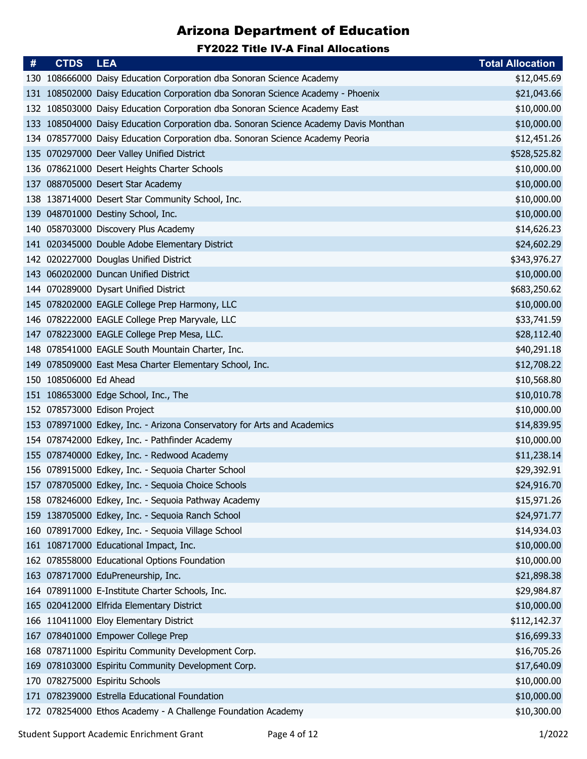| #   | <b>CTDS</b>            | <b>LEA</b>                                                                       | <b>Total Allocation</b> |
|-----|------------------------|----------------------------------------------------------------------------------|-------------------------|
|     |                        | 130 108666000 Daisy Education Corporation dba Sonoran Science Academy            | \$12,045.69             |
| 131 |                        | 108502000 Daisy Education Corporation dba Sonoran Science Academy - Phoenix      | \$21,043.66             |
|     |                        | 132 108503000 Daisy Education Corporation dba Sonoran Science Academy East       | \$10,000.00             |
| 133 |                        | 108504000 Daisy Education Corporation dba. Sonoran Science Academy Davis Monthan | \$10,000.00             |
|     |                        | 134 078577000 Daisy Education Corporation dba. Sonoran Science Academy Peoria    | \$12,451.26             |
|     |                        | 135 070297000 Deer Valley Unified District                                       | \$528,525.82            |
|     |                        | 136 078621000 Desert Heights Charter Schools                                     | \$10,000.00             |
|     |                        | 137 088705000 Desert Star Academy                                                | \$10,000.00             |
|     |                        | 138 138714000 Desert Star Community School, Inc.                                 | \$10,000.00             |
|     |                        | 139 048701000 Destiny School, Inc.                                               | \$10,000.00             |
|     |                        | 140 058703000 Discovery Plus Academy                                             | \$14,626.23             |
|     |                        | 141 020345000 Double Adobe Elementary District                                   | \$24,602.29             |
|     |                        | 142 020227000 Douglas Unified District                                           | \$343,976.27            |
|     |                        | 143 060202000 Duncan Unified District                                            | \$10,000.00             |
|     |                        | 144 070289000 Dysart Unified District                                            | \$683,250.62            |
|     |                        | 145 078202000 EAGLE College Prep Harmony, LLC                                    | \$10,000.00             |
|     |                        | 146 078222000 EAGLE College Prep Maryvale, LLC                                   | \$33,741.59             |
|     |                        | 147 078223000 EAGLE College Prep Mesa, LLC.                                      | \$28,112.40             |
|     |                        | 148 078541000 EAGLE South Mountain Charter, Inc.                                 | \$40,291.18             |
|     |                        | 149 078509000 East Mesa Charter Elementary School, Inc.                          | \$12,708.22             |
|     | 150 108506000 Ed Ahead |                                                                                  | \$10,568.80             |
|     |                        | 151 108653000 Edge School, Inc., The                                             | \$10,010.78             |
|     |                        | 152 078573000 Edison Project                                                     | \$10,000.00             |
|     |                        | 153 078971000 Edkey, Inc. - Arizona Conservatory for Arts and Academics          | \$14,839.95             |
|     |                        | 154 078742000 Edkey, Inc. - Pathfinder Academy                                   | \$10,000.00             |
|     |                        | 155 078740000 Edkey, Inc. - Redwood Academy                                      | \$11,238.14             |
|     |                        | 156 078915000 Edkey, Inc. - Sequoia Charter School                               | \$29,392.91             |
|     |                        | 157 078705000 Edkey, Inc. - Sequoia Choice Schools                               | \$24,916.70             |
|     |                        | 158 078246000 Edkey, Inc. - Sequoia Pathway Academy                              | \$15,971.26             |
|     |                        | 159 138705000 Edkey, Inc. - Sequoia Ranch School                                 | \$24,971.77             |
|     |                        | 160 078917000 Edkey, Inc. - Sequoia Village School                               | \$14,934.03             |
|     |                        | 161 108717000 Educational Impact, Inc.                                           | \$10,000.00             |
|     |                        | 162 078558000 Educational Options Foundation                                     | \$10,000.00             |
|     |                        | 163 078717000 EduPreneurship, Inc.                                               | \$21,898.38             |
|     |                        | 164 078911000 E-Institute Charter Schools, Inc.                                  | \$29,984.87             |
|     |                        | 165 020412000 Elfrida Elementary District                                        | \$10,000.00             |
|     |                        | 166 110411000 Eloy Elementary District                                           | \$112,142.37            |
| 167 |                        | 078401000 Empower College Prep                                                   | \$16,699.33             |
|     |                        | 168 078711000 Espiritu Community Development Corp.                               | \$16,705.26             |
|     |                        | 169 078103000 Espiritu Community Development Corp.                               | \$17,640.09             |
| 170 |                        | 078275000 Espiritu Schools                                                       | \$10,000.00             |
|     |                        | 171 078239000 Estrella Educational Foundation                                    | \$10,000.00             |
|     |                        | 172 078254000 Ethos Academy - A Challenge Foundation Academy                     | \$10,300.00             |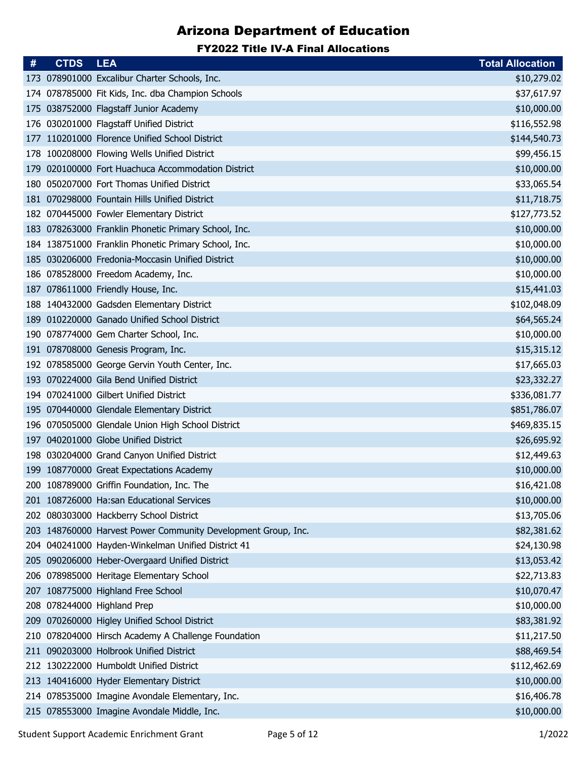| #   | <b>CTDS</b> | <b>LEA</b>                                                    | <b>Total Allocation</b> |
|-----|-------------|---------------------------------------------------------------|-------------------------|
|     |             | 173 078901000 Excalibur Charter Schools, Inc.                 | \$10,279.02             |
|     |             | 174 078785000 Fit Kids, Inc. dba Champion Schools             | \$37,617.97             |
|     |             | 175 038752000 Flagstaff Junior Academy                        | \$10,000.00             |
| 176 |             | 030201000 Flagstaff Unified District                          | \$116,552.98            |
|     |             | 177 110201000 Florence Unified School District                | \$144,540.73            |
|     |             | 178 100208000 Flowing Wells Unified District                  | \$99,456.15             |
| 179 |             | 020100000 Fort Huachuca Accommodation District                | \$10,000.00             |
| 180 |             | 050207000 Fort Thomas Unified District                        | \$33,065.54             |
|     |             | 181 070298000 Fountain Hills Unified District                 | \$11,718.75             |
|     |             | 182 070445000 Fowler Elementary District                      | \$127,773.52            |
|     |             | 183 078263000 Franklin Phonetic Primary School, Inc.          | \$10,000.00             |
|     |             | 184 138751000 Franklin Phonetic Primary School, Inc.          | \$10,000.00             |
|     |             | 185 030206000 Fredonia-Moccasin Unified District              | \$10,000.00             |
|     |             | 186 078528000 Freedom Academy, Inc.                           | \$10,000.00             |
|     |             | 187 078611000 Friendly House, Inc.                            | \$15,441.03             |
|     |             | 188 140432000 Gadsden Elementary District                     | \$102,048.09            |
| 189 |             | 010220000 Ganado Unified School District                      | \$64,565.24             |
|     |             | 190 078774000 Gem Charter School, Inc.                        | \$10,000.00             |
|     |             | 191 078708000 Genesis Program, Inc.                           | \$15,315.12             |
|     |             | 192 078585000 George Gervin Youth Center, Inc.                | \$17,665.03             |
|     |             | 193 070224000 Gila Bend Unified District                      | \$23,332.27             |
|     |             | 194 070241000 Gilbert Unified District                        | \$336,081.77            |
|     |             | 195 070440000 Glendale Elementary District                    | \$851,786.07            |
|     |             | 196 070505000 Glendale Union High School District             | \$469,835.15            |
|     |             | 197 040201000 Globe Unified District                          | \$26,695.92             |
|     |             | 198 030204000 Grand Canyon Unified District                   | \$12,449.63             |
|     |             | 199 108770000 Great Expectations Academy                      | \$10,000.00             |
|     |             | 200 108789000 Griffin Foundation, Inc. The                    | \$16,421.08             |
|     |             | 201 108726000 Ha:san Educational Services                     | \$10,000.00             |
|     |             | 202 080303000 Hackberry School District                       | \$13,705.06             |
|     |             | 203 148760000 Harvest Power Community Development Group, Inc. | \$82,381.62             |
|     |             | 204 040241000 Hayden-Winkelman Unified District 41            | \$24,130.98             |
|     |             | 205 090206000 Heber-Overgaard Unified District                | \$13,053.42             |
|     |             | 206 078985000 Heritage Elementary School                      | \$22,713.83             |
|     |             | 207 108775000 Highland Free School                            | \$10,070.47             |
|     |             | 208 078244000 Highland Prep                                   | \$10,000.00             |
|     |             | 209 070260000 Higley Unified School District                  | \$83,381.92             |
| 210 |             | 078204000 Hirsch Academy A Challenge Foundation               | \$11,217.50             |
|     |             | 211 090203000 Holbrook Unified District                       | \$88,469.54             |
|     |             | 212 130222000 Humboldt Unified District                       | \$112,462.69            |
|     |             | 213 140416000 Hyder Elementary District                       | \$10,000.00             |
|     |             | 214 078535000 Imagine Avondale Elementary, Inc.               | \$16,406.78             |
|     |             | 215 078553000 Imagine Avondale Middle, Inc.                   | \$10,000.00             |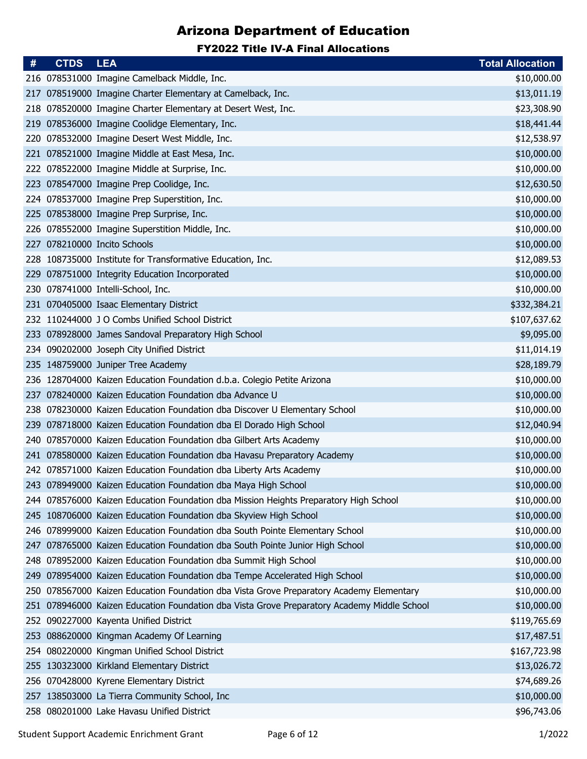| #    | <b>CTDS</b> | <b>LEA</b>                                                                              | <b>Total Allocation</b> |
|------|-------------|-----------------------------------------------------------------------------------------|-------------------------|
|      |             | 216 078531000 Imagine Camelback Middle, Inc.                                            | \$10,000.00             |
| 217  |             | 078519000 Imagine Charter Elementary at Camelback, Inc.                                 | \$13,011.19             |
|      |             | 218 078520000 Imagine Charter Elementary at Desert West, Inc.                           | \$23,308.90             |
| 219  |             | 078536000 Imagine Coolidge Elementary, Inc.                                             | \$18,441.44             |
| 220  |             | 078532000 Imagine Desert West Middle, Inc.                                              | \$12,538.97             |
| 221  |             | 078521000 Imagine Middle at East Mesa, Inc.                                             | \$10,000.00             |
|      |             | 222 078522000 Imagine Middle at Surprise, Inc.                                          | \$10,000.00             |
| 223  |             | 078547000 Imagine Prep Coolidge, Inc.                                                   | \$12,630.50             |
| 224. |             | 078537000 Imagine Prep Superstition, Inc.                                               | \$10,000.00             |
|      |             | 225 078538000 Imagine Prep Surprise, Inc.                                               | \$10,000.00             |
| 226  |             | 078552000 Imagine Superstition Middle, Inc.                                             | \$10,000.00             |
| 227  |             | 078210000 Incito Schools                                                                | \$10,000.00             |
|      |             | 228 108735000 Institute for Transformative Education, Inc.                              | \$12,089.53             |
| 229  |             | 078751000 Integrity Education Incorporated                                              | \$10,000.00             |
|      |             | 230 078741000 Intelli-School, Inc.                                                      | \$10,000.00             |
|      |             | 231 070405000 Isaac Elementary District                                                 | \$332,384.21            |
|      |             | 232 110244000 J O Combs Unified School District                                         | \$107,637.62            |
|      |             | 233 078928000 James Sandoval Preparatory High School                                    | \$9,095.00              |
|      |             | 234 090202000 Joseph City Unified District                                              | \$11,014.19             |
|      |             | 235 148759000 Juniper Tree Academy                                                      | \$28,189.79             |
|      |             | 236 128704000 Kaizen Education Foundation d.b.a. Colegio Petite Arizona                 | \$10,000.00             |
| 237  |             | 078240000 Kaizen Education Foundation dba Advance U                                     | \$10,000.00             |
|      |             | 238 078230000 Kaizen Education Foundation dba Discover U Elementary School              | \$10,000.00             |
| 239  |             | 078718000 Kaizen Education Foundation dba El Dorado High School                         | \$12,040.94             |
|      |             | 240 078570000 Kaizen Education Foundation dba Gilbert Arts Academy                      | \$10,000.00             |
|      |             | 241 078580000 Kaizen Education Foundation dba Havasu Preparatory Academy                | \$10,000.00             |
|      |             | 242 078571000 Kaizen Education Foundation dba Liberty Arts Academy                      | \$10,000.00             |
|      |             | 243 078949000 Kaizen Education Foundation dba Maya High School                          | \$10,000.00             |
|      |             | 244 078576000 Kaizen Education Foundation dba Mission Heights Preparatory High School   | \$10,000.00             |
|      |             | 245 108706000 Kaizen Education Foundation dba Skyview High School                       | \$10,000.00             |
|      |             | 246 078999000 Kaizen Education Foundation dba South Pointe Elementary School            | \$10,000.00             |
| 247  |             | 078765000 Kaizen Education Foundation dba South Pointe Junior High School               | \$10,000.00             |
| 248  |             | 078952000 Kaizen Education Foundation dba Summit High School                            | \$10,000.00             |
| 249  |             | 078954000 Kaizen Education Foundation dba Tempe Accelerated High School                 | \$10,000.00             |
| 250  |             | 078567000 Kaizen Education Foundation dba Vista Grove Preparatory Academy Elementary    | \$10,000.00             |
| 251  |             | 078946000 Kaizen Education Foundation dba Vista Grove Preparatory Academy Middle School | \$10,000.00             |
|      |             | 252 090227000 Kayenta Unified District                                                  | \$119,765.69            |
| 253  |             | 088620000 Kingman Academy Of Learning                                                   | \$17,487.51             |
| 254  |             | 080220000 Kingman Unified School District                                               | \$167,723.98            |
|      |             | 255 130323000 Kirkland Elementary District                                              | \$13,026.72             |
| 256  |             | 070428000 Kyrene Elementary District                                                    | \$74,689.26             |
|      |             | 257 138503000 La Tierra Community School, Inc.                                          | \$10,000.00             |
|      |             | 258 080201000 Lake Havasu Unified District                                              | \$96,743.06             |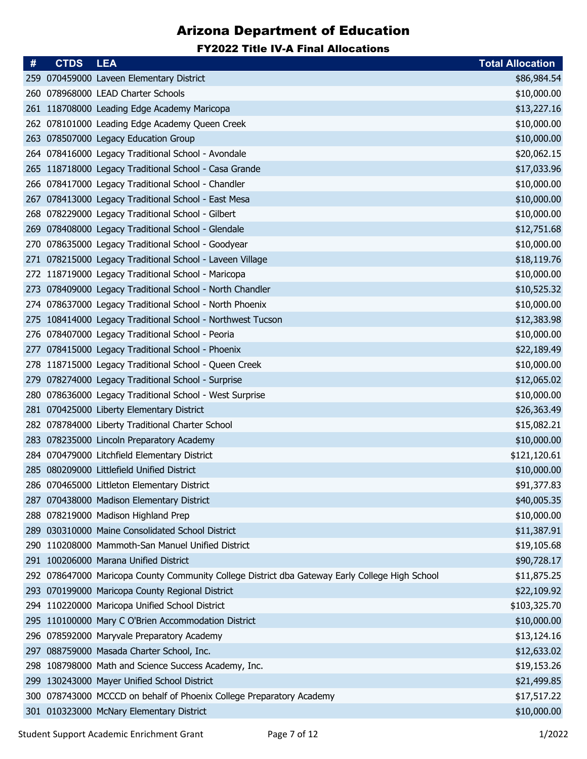| #   | <b>CTDS</b> | <b>LEA</b>                                                                                     | <b>Total Allocation</b> |
|-----|-------------|------------------------------------------------------------------------------------------------|-------------------------|
|     |             | 259 070459000 Laveen Elementary District                                                       | \$86,984.54             |
|     |             | 260 078968000 LEAD Charter Schools                                                             | \$10,000.00             |
|     |             | 261 118708000 Leading Edge Academy Maricopa                                                    | \$13,227.16             |
|     |             | 262 078101000 Leading Edge Academy Queen Creek                                                 | \$10,000.00             |
|     |             | 263 078507000 Legacy Education Group                                                           | \$10,000.00             |
|     |             | 264 078416000 Legacy Traditional School - Avondale                                             | \$20,062.15             |
|     |             | 265 118718000 Legacy Traditional School - Casa Grande                                          | \$17,033.96             |
|     |             | 266 078417000 Legacy Traditional School - Chandler                                             | \$10,000.00             |
| 267 |             | 078413000 Legacy Traditional School - East Mesa                                                | \$10,000.00             |
|     |             | 268 078229000 Legacy Traditional School - Gilbert                                              | \$10,000.00             |
| 269 |             | 078408000 Legacy Traditional School - Glendale                                                 | \$12,751.68             |
| 270 |             | 078635000 Legacy Traditional School - Goodyear                                                 | \$10,000.00             |
|     |             | 271 078215000 Legacy Traditional School - Laveen Village                                       | \$18,119.76             |
|     |             | 272 118719000 Legacy Traditional School - Maricopa                                             | \$10,000.00             |
| 273 |             | 078409000 Legacy Traditional School - North Chandler                                           | \$10,525.32             |
|     |             | 274 078637000 Legacy Traditional School - North Phoenix                                        | \$10,000.00             |
| 275 |             | 108414000 Legacy Traditional School - Northwest Tucson                                         | \$12,383.98             |
|     |             | 276 078407000 Legacy Traditional School - Peoria                                               | \$10,000.00             |
|     |             | 277 078415000 Legacy Traditional School - Phoenix                                              | \$22,189.49             |
|     |             | 278 118715000 Legacy Traditional School - Queen Creek                                          | \$10,000.00             |
| 279 |             | 078274000 Legacy Traditional School - Surprise                                                 | \$12,065.02             |
| 280 |             | 078636000 Legacy Traditional School - West Surprise                                            | \$10,000.00             |
|     |             | 281 070425000 Liberty Elementary District                                                      | \$26,363.49             |
|     |             | 282 078784000 Liberty Traditional Charter School                                               | \$15,082.21             |
| 283 |             | 078235000 Lincoln Preparatory Academy                                                          | \$10,000.00             |
|     |             | 284 070479000 Litchfield Elementary District                                                   | \$121,120.61            |
|     |             | 285 080209000 Littlefield Unified District                                                     | \$10,000.00             |
|     |             | 286 070465000 Littleton Elementary District                                                    | \$91,377.83             |
|     |             | 287 070438000 Madison Elementary District                                                      | \$40,005.35             |
|     |             | 288 078219000 Madison Highland Prep                                                            | \$10,000.00             |
|     |             | 289 030310000 Maine Consolidated School District                                               | \$11,387.91             |
|     |             | 290 110208000 Mammoth-San Manuel Unified District                                              | \$19,105.68             |
|     |             | 291 100206000 Marana Unified District                                                          | \$90,728.17             |
|     |             | 292 078647000 Maricopa County Community College District dba Gateway Early College High School | \$11,875.25             |
|     |             | 293 070199000 Maricopa County Regional District                                                | \$22,109.92             |
|     |             | 294 110220000 Maricopa Unified School District                                                 | \$103,325.70            |
|     |             | 295 110100000 Mary C O'Brien Accommodation District                                            | \$10,000.00             |
|     |             | 296 078592000 Maryvale Preparatory Academy                                                     | \$13,124.16             |
| 297 |             | 088759000 Masada Charter School, Inc.                                                          | \$12,633.02             |
|     |             | 298 108798000 Math and Science Success Academy, Inc.                                           | \$19,153.26             |
| 299 |             | 130243000 Mayer Unified School District                                                        | \$21,499.85             |
|     |             | 300 078743000 MCCCD on behalf of Phoenix College Preparatory Academy                           | \$17,517.22             |
|     |             | 301 010323000 McNary Elementary District                                                       | \$10,000.00             |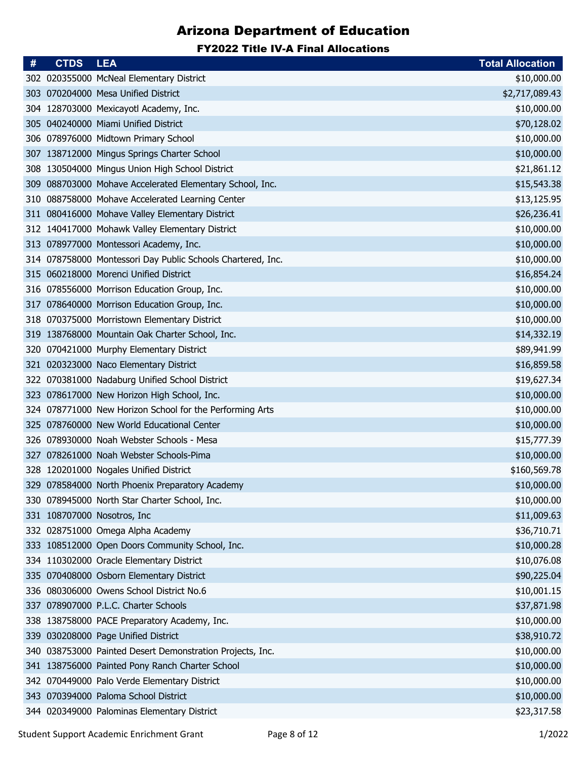| #   | <b>CTDS</b> | <b>LEA</b>                                                  | <b>Total Allocation</b> |
|-----|-------------|-------------------------------------------------------------|-------------------------|
|     |             | 302 020355000 McNeal Elementary District                    | \$10,000.00             |
|     |             | 303 070204000 Mesa Unified District                         | \$2,717,089.43          |
|     |             | 304 128703000 Mexicayotl Academy, Inc.                      | \$10,000.00             |
|     |             | 305 040240000 Miami Unified District                        | \$70,128.02             |
|     |             | 306 078976000 Midtown Primary School                        | \$10,000.00             |
|     |             | 307 138712000 Mingus Springs Charter School                 | \$10,000.00             |
|     |             | 308 130504000 Mingus Union High School District             | \$21,861.12             |
| 309 |             | 088703000 Mohave Accelerated Elementary School, Inc.        | \$15,543.38             |
| 310 |             | 088758000 Mohave Accelerated Learning Center                | \$13,125.95             |
|     |             | 311 080416000 Mohave Valley Elementary District             | \$26,236.41             |
|     |             | 312 140417000 Mohawk Valley Elementary District             | \$10,000.00             |
|     |             | 313 078977000 Montessori Academy, Inc.                      | \$10,000.00             |
|     |             | 314 078758000 Montessori Day Public Schools Chartered, Inc. | \$10,000.00             |
|     |             | 315 060218000 Morenci Unified District                      | \$16,854.24             |
|     |             | 316 078556000 Morrison Education Group, Inc.                | \$10,000.00             |
|     |             | 317 078640000 Morrison Education Group, Inc.                | \$10,000.00             |
| 318 |             | 070375000 Morristown Elementary District                    | \$10,000.00             |
|     |             | 319 138768000 Mountain Oak Charter School, Inc.             | \$14,332.19             |
|     |             | 320 070421000 Murphy Elementary District                    | \$89,941.99             |
| 321 |             | 020323000 Naco Elementary District                          | \$16,859.58             |
| 322 |             | 070381000 Nadaburg Unified School District                  | \$19,627.34             |
|     |             | 323 078617000 New Horizon High School, Inc.                 | \$10,000.00             |
|     |             | 324 078771000 New Horizon School for the Performing Arts    | \$10,000.00             |
|     |             | 325 078760000 New World Educational Center                  | \$10,000.00             |
| 326 |             | 078930000 Noah Webster Schools - Mesa                       | \$15,777.39             |
|     |             | 327 078261000 Noah Webster Schools-Pima                     | \$10,000.00             |
|     |             | 328 120201000 Nogales Unified District                      | \$160,569.78            |
|     |             | 329 078584000 North Phoenix Preparatory Academy             | \$10,000.00             |
|     |             | 330 078945000 North Star Charter School, Inc.               | \$10,000.00             |
|     |             | 331 108707000 Nosotros, Inc.                                | \$11,009.63             |
|     |             | 332 028751000 Omega Alpha Academy                           | \$36,710.71             |
|     |             | 333 108512000 Open Doors Community School, Inc.             | \$10,000.28             |
|     |             | 334 110302000 Oracle Elementary District                    | \$10,076.08             |
|     |             | 335 070408000 Osborn Elementary District                    | \$90,225.04             |
| 336 |             | 080306000 Owens School District No.6                        | \$10,001.15             |
| 337 |             | 078907000 P.L.C. Charter Schools                            | \$37,871.98             |
|     |             | 338 138758000 PACE Preparatory Academy, Inc.                | \$10,000.00             |
| 339 |             | 030208000 Page Unified District                             | \$38,910.72             |
|     |             | 340 038753000 Painted Desert Demonstration Projects, Inc.   | \$10,000.00             |
|     |             | 341 138756000 Painted Pony Ranch Charter School             | \$10,000.00             |
|     |             | 342 070449000 Palo Verde Elementary District                | \$10,000.00             |
|     |             | 343 070394000 Paloma School District                        | \$10,000.00             |
|     |             | 344 020349000 Palominas Elementary District                 | \$23,317.58             |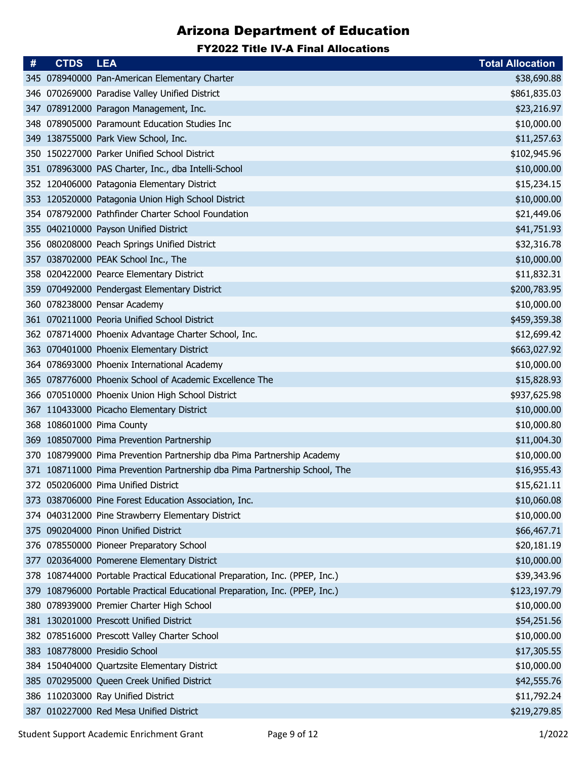| #   | <b>CTDS</b> | <b>LEA</b>                                                                  | <b>Total Allocation</b> |
|-----|-------------|-----------------------------------------------------------------------------|-------------------------|
|     |             | 345 078940000 Pan-American Elementary Charter                               | \$38,690.88             |
|     |             | 346 070269000 Paradise Valley Unified District                              | \$861,835.03            |
|     |             | 347 078912000 Paragon Management, Inc.                                      | \$23,216.97             |
| 348 |             | 078905000 Paramount Education Studies Inc                                   | \$10,000.00             |
|     |             | 349 138755000 Park View School, Inc.                                        | \$11,257.63             |
|     |             | 350 150227000 Parker Unified School District                                | \$102,945.96            |
| 351 |             | 078963000 PAS Charter, Inc., dba Intelli-School                             | \$10,000.00             |
|     |             | 352 120406000 Patagonia Elementary District                                 | \$15,234.15             |
| 353 |             | 120520000 Patagonia Union High School District                              | \$10,000.00             |
|     |             | 354 078792000 Pathfinder Charter School Foundation                          | \$21,449.06             |
|     |             | 355 040210000 Payson Unified District                                       | \$41,751.93             |
| 356 |             | 080208000 Peach Springs Unified District                                    | \$32,316.78             |
|     |             | 357 038702000 PEAK School Inc., The                                         | \$10,000.00             |
| 358 |             | 020422000 Pearce Elementary District                                        | \$11,832.31             |
| 359 |             | 070492000 Pendergast Elementary District                                    | \$200,783.95            |
|     |             | 360 078238000 Pensar Academy                                                | \$10,000.00             |
| 361 |             | 070211000 Peoria Unified School District                                    | \$459,359.38            |
|     |             | 362 078714000 Phoenix Advantage Charter School, Inc.                        | \$12,699.42             |
|     |             | 363 070401000 Phoenix Elementary District                                   | \$663,027.92            |
|     |             | 364 078693000 Phoenix International Academy                                 | \$10,000.00             |
|     |             | 365 078776000 Phoenix School of Academic Excellence The                     | \$15,828.93             |
|     |             | 366 070510000 Phoenix Union High School District                            | \$937,625.98            |
|     |             | 367 110433000 Picacho Elementary District                                   | \$10,000.00             |
| 368 |             | 108601000 Pima County                                                       | \$10,000.80             |
| 369 |             | 108507000 Pima Prevention Partnership                                       | \$11,004.30             |
|     |             | 370 108799000 Pima Prevention Partnership dba Pima Partnership Academy      | \$10,000.00             |
|     |             | 371 108711000 Pima Prevention Partnership dba Pima Partnership School, The  | \$16,955.43             |
|     |             | 372 050206000 Pima Unified District                                         | \$15,621.11             |
|     |             | 373 038706000 Pine Forest Education Association, Inc.                       | \$10,060.08             |
|     |             | 374 040312000 Pine Strawberry Elementary District                           | \$10,000.00             |
|     |             | 375 090204000 Pinon Unified District                                        | \$66,467.71             |
|     |             | 376 078550000 Pioneer Preparatory School                                    | \$20,181.19             |
| 377 |             | 020364000 Pomerene Elementary District                                      | \$10,000.00             |
|     |             | 378 108744000 Portable Practical Educational Preparation, Inc. (PPEP, Inc.) | \$39,343.96             |
| 379 |             | 108796000 Portable Practical Educational Preparation, Inc. (PPEP, Inc.)     | \$123,197.79            |
|     |             | 380 078939000 Premier Charter High School                                   | \$10,000.00             |
|     |             | 381 130201000 Prescott Unified District                                     | \$54,251.56             |
|     |             | 382 078516000 Prescott Valley Charter School                                | \$10,000.00             |
|     |             | 383 108778000 Presidio School                                               | \$17,305.55             |
|     |             | 384 150404000 Quartzsite Elementary District                                | \$10,000.00             |
|     |             | 385 070295000 Queen Creek Unified District                                  | \$42,555.76             |
|     |             | 386 110203000 Ray Unified District                                          | \$11,792.24             |
|     |             | 387 010227000 Red Mesa Unified District                                     | \$219,279.85            |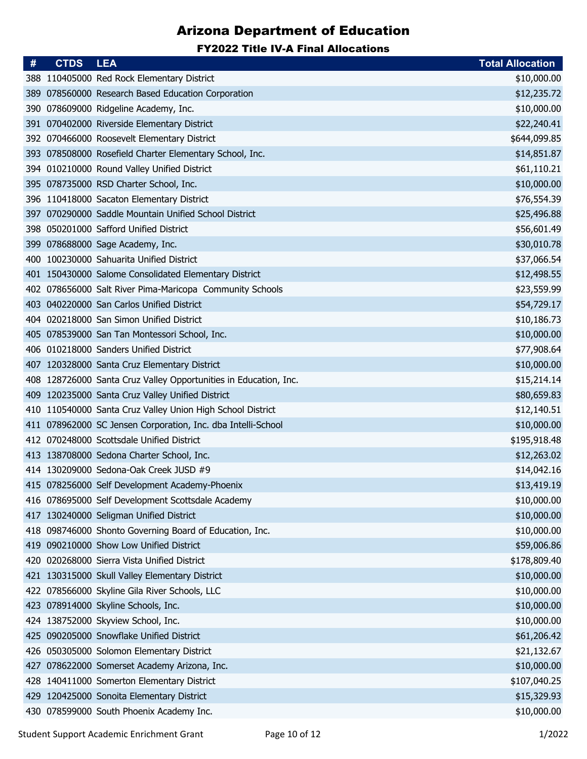| #   | <b>CTDS</b> | <b>LEA</b>                                                       | <b>Total Allocation</b> |
|-----|-------------|------------------------------------------------------------------|-------------------------|
|     |             | 388 110405000 Red Rock Elementary District                       | \$10,000.00             |
| 389 |             | 078560000 Research Based Education Corporation                   | \$12,235.72             |
|     |             | 390 078609000 Ridgeline Academy, Inc.                            | \$10,000.00             |
| 391 |             | 070402000 Riverside Elementary District                          | \$22,240.41             |
|     |             | 392 070466000 Roosevelt Elementary District                      | \$644,099.85            |
|     |             | 393 078508000 Rosefield Charter Elementary School, Inc.          | \$14,851.87             |
|     |             | 394 010210000 Round Valley Unified District                      | \$61,110.21             |
|     |             | 395 078735000 RSD Charter School, Inc.                           | \$10,000.00             |
|     |             | 396 110418000 Sacaton Elementary District                        | \$76,554.39             |
|     |             | 397 070290000 Saddle Mountain Unified School District            | \$25,496.88             |
|     |             | 398 050201000 Safford Unified District                           | \$56,601.49             |
|     |             | 399 078688000 Sage Academy, Inc.                                 | \$30,010.78             |
|     |             | 400 100230000 Sahuarita Unified District                         | \$37,066.54             |
|     |             | 401 150430000 Salome Consolidated Elementary District            | \$12,498.55             |
|     |             | 402 078656000 Salt River Pima-Maricopa Community Schools         | \$23,559.99             |
|     |             | 403 040220000 San Carlos Unified District                        | \$54,729.17             |
| 404 |             | 020218000 San Simon Unified District                             | \$10,186.73             |
|     |             | 405 078539000 San Tan Montessori School, Inc.                    | \$10,000.00             |
|     |             | 406 010218000 Sanders Unified District                           | \$77,908.64             |
|     |             | 407 120328000 Santa Cruz Elementary District                     | \$10,000.00             |
|     |             | 408 128726000 Santa Cruz Valley Opportunities in Education, Inc. | \$15,214.14             |
|     |             | 409 120235000 Santa Cruz Valley Unified District                 | \$80,659.83             |
|     |             | 410 110540000 Santa Cruz Valley Union High School District       | \$12,140.51             |
|     |             | 411 078962000 SC Jensen Corporation, Inc. dba Intelli-School     | \$10,000.00             |
|     |             | 412 070248000 Scottsdale Unified District                        | \$195,918.48            |
|     |             | 413 138708000 Sedona Charter School, Inc.                        | \$12,263.02             |
|     |             | 414 130209000 Sedona-Oak Creek JUSD #9                           | \$14,042.16             |
|     |             | 415 078256000 Self Development Academy-Phoenix                   | \$13,419.19             |
|     |             | 416 078695000 Self Development Scottsdale Academy                | \$10,000.00             |
|     |             | 417 130240000 Seligman Unified District                          | \$10,000.00             |
|     |             | 418 098746000 Shonto Governing Board of Education, Inc.          | \$10,000.00             |
|     |             | 419 090210000 Show Low Unified District                          | \$59,006.86             |
|     |             | 420 020268000 Sierra Vista Unified District                      | \$178,809.40            |
|     |             | 421 130315000 Skull Valley Elementary District                   | \$10,000.00             |
|     |             | 422 078566000 Skyline Gila River Schools, LLC                    | \$10,000.00             |
|     |             | 423 078914000 Skyline Schools, Inc.                              | \$10,000.00             |
|     |             | 424 138752000 Skyview School, Inc.                               | \$10,000.00             |
|     |             | 425 090205000 Snowflake Unified District                         | \$61,206.42             |
|     |             | 426 050305000 Solomon Elementary District                        | \$21,132.67             |
|     |             | 427 078622000 Somerset Academy Arizona, Inc.                     | \$10,000.00             |
| 428 |             | 140411000 Somerton Elementary District                           | \$107,040.25            |
|     |             | 429 120425000 Sonoita Elementary District                        | \$15,329.93             |
|     |             | 430 078599000 South Phoenix Academy Inc.                         | \$10,000.00             |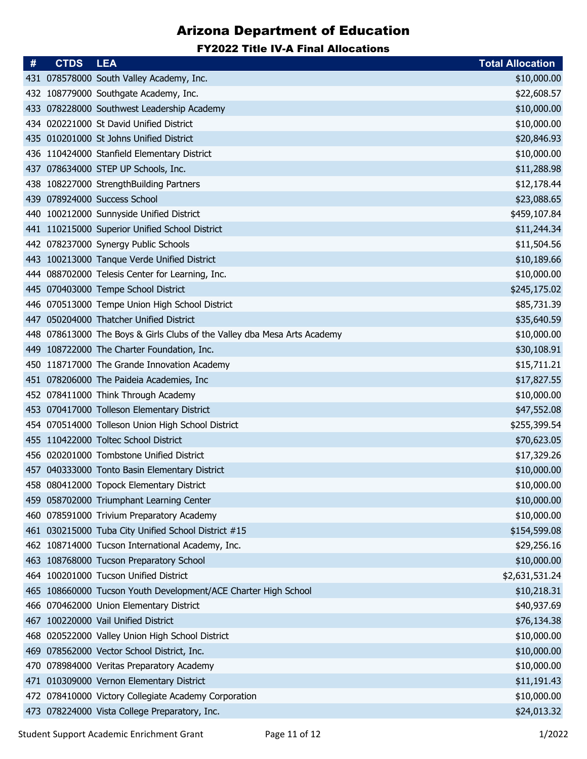| #   | <b>CTDS</b> | <b>LEA</b>                                                               | <b>Total Allocation</b> |
|-----|-------------|--------------------------------------------------------------------------|-------------------------|
|     |             | 431 078578000 South Valley Academy, Inc.                                 | \$10,000.00             |
|     |             | 432 108779000 Southgate Academy, Inc.                                    | \$22,608.57             |
|     |             | 433 078228000 Southwest Leadership Academy                               | \$10,000.00             |
|     |             | 434 020221000 St David Unified District                                  | \$10,000.00             |
|     |             | 435 010201000 St Johns Unified District                                  | \$20,846.93             |
|     |             | 436 110424000 Stanfield Elementary District                              | \$10,000.00             |
|     |             | 437 078634000 STEP UP Schools, Inc.                                      | \$11,288.98             |
|     |             | 438 108227000 StrengthBuilding Partners                                  | \$12,178.44             |
|     |             | 439 078924000 Success School                                             | \$23,088.65             |
|     |             | 440 100212000 Sunnyside Unified District                                 | \$459,107.84            |
|     |             | 441 110215000 Superior Unified School District                           | \$11,244.34             |
|     |             | 442 078237000 Synergy Public Schools                                     | \$11,504.56             |
|     |             | 443 100213000 Tanque Verde Unified District                              | \$10,189.66             |
|     |             | 444 088702000 Telesis Center for Learning, Inc.                          | \$10,000.00             |
|     |             | 445 070403000 Tempe School District                                      | \$245,175.02            |
|     |             | 446 070513000 Tempe Union High School District                           | \$85,731.39             |
| 447 |             | 050204000 Thatcher Unified District                                      | \$35,640.59             |
|     |             | 448 078613000 The Boys & Girls Clubs of the Valley dba Mesa Arts Academy | \$10,000.00             |
|     |             | 449 108722000 The Charter Foundation, Inc.                               | \$30,108.91             |
|     |             | 450 118717000 The Grande Innovation Academy                              | \$15,711.21             |
|     |             | 451 078206000 The Paideia Academies, Inc                                 | \$17,827.55             |
|     |             | 452 078411000 Think Through Academy                                      | \$10,000.00             |
|     |             | 453 070417000 Tolleson Elementary District                               | \$47,552.08             |
|     |             | 454 070514000 Tolleson Union High School District                        | \$255,399.54            |
|     |             | 455 110422000 Toltec School District                                     | \$70,623.05             |
|     |             | 456 020201000 Tombstone Unified District                                 | \$17,329.26             |
|     |             | 457 040333000 Tonto Basin Elementary District                            | \$10,000.00             |
|     |             | 458 080412000 Topock Elementary District                                 | \$10,000.00             |
|     |             | 459 058702000 Triumphant Learning Center                                 | \$10,000.00             |
|     |             | 460 078591000 Trivium Preparatory Academy                                | \$10,000.00             |
|     |             | 461 030215000 Tuba City Unified School District #15                      | \$154,599.08            |
|     |             | 462 108714000 Tucson International Academy, Inc.                         | \$29,256.16             |
|     |             | 463 108768000 Tucson Preparatory School                                  | \$10,000.00             |
|     |             | 464 100201000 Tucson Unified District                                    | \$2,631,531.24          |
|     |             | 465 108660000 Tucson Youth Development/ACE Charter High School           | \$10,218.31             |
|     |             | 466 070462000 Union Elementary District                                  | \$40,937.69             |
|     |             | 467 100220000 Vail Unified District                                      | \$76,134.38             |
| 468 |             | 020522000 Valley Union High School District                              | \$10,000.00             |
| 469 |             | 078562000 Vector School District, Inc.                                   | \$10,000.00             |
|     |             | 470 078984000 Veritas Preparatory Academy                                | \$10,000.00             |
| 471 |             | 010309000 Vernon Elementary District                                     | \$11,191.43             |
|     |             | 472 078410000 Victory Collegiate Academy Corporation                     | \$10,000.00             |
|     |             | 473 078224000 Vista College Preparatory, Inc.                            | \$24,013.32             |